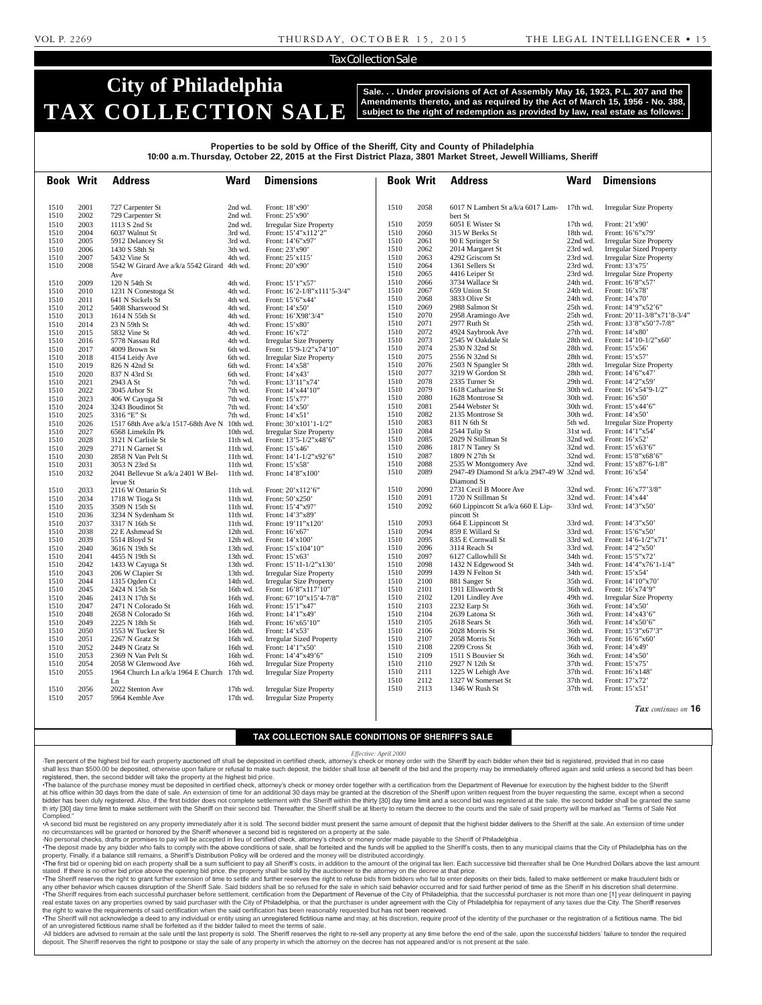## Tax Collection Sale

# **City of Philadelphia TAX COLLECTION SALE**

1510 2056 2022 Stenton Ave 17th wd. Irregular Size Property<br>1510 2057 5964 Kemble Ave 17th wd. Irregular Size Property

**Sale. . . Under provisions of Act of Assembly May 16, 1923, P.L. 207 and the Amendments thereto, and as required by the Act of March 15, 1956 - No. 388, subject to the right of redemption as provided by law, real estate as follows:**

**Book Writ Address Ward Dimensions Book Writ Address Ward Dimensions** Properties to be sold by Office of the Sheriff, City and County of Philadelphia **Properties to be sold by Office of the Sheriff, City and County of Philadelphia** 10:00 a.m. Thursday, October 22, 2015 at the First District Plaza, 3801 Market Street, Jewell Williams, Sheriff 1510 2001 727 Carpenter St 2nd wd. Front: 18'x90' 1510 2002 729 Carpenter St 2nd wd. Front: 25'x90' 1510 2003 1113 S 2nd St 2nd wd. Irregular Size Property 1510 2004 6037 Walnut St 3rd wd. Front: 15'4"x112'2"<br>1510 2005 5912 Delancev St 3rd wd. Front: 14'6"x97" 1510 2005 5912 Delancey St 3rd wd. Front: 14'6"x9<br>1510 2006 1430 S 58th St 3th wd. Front: 23'x90' 2006 1430 S 58th St<br>2007 5432 Vine St 1510 2007 5432 Vine St 4th wd. Front: 25'x115' 1510 2008 5542 W Girard Ave a/k/a 5542 Girard 4th wd. Ave<br>120 N 54th St Front: 20'x90' 1510 2009 120 N 54th St 4th wd. Front: 15'1"x57"<br>1510 2010 1231 N Conestoga St 4th wd. Front: 16'2-1/8" 1510 2010 1231 N Conestoga St 4th wd. Front: 16'2-1/8"x111'5-3/4"<br>1510 2011 641 N Sickels St 4th wd. Front: 15'6"x44' 641 N Sickels St 1510 2012 5408 Sharswood St 4th wd. Front: 14'x50'<br>1510 2013 1614 N 55th St 4th wd. Front: 16'X98 1510 2013 1614 N 55th St 4th wd. Front: 16'X98'3/4"<br>1510 2014 23 N 59th St 4th wd. Front: 15'x80' 1510 2014 23 N 59th St 4th wd. 1510 2015 5832 Vine St 4th wd. Front: 16'x72<br>1510 2016 5778 Nassau Rd 4th wd. Irregular Size 1510 2016 5778 Nassau Rd 4th wd. Irregular Size Property<br>1510 2017 4009 Brown St 6th wd. Front: 15'9-1/2"x74'10 1510 2017 4009 Brown St 6th wd. Front: 15'9-1/2"x74'10"<br>1510 2018 4154 Leidy Ave 6th wd. Irregular Size Property 1510 2018 4154 Leidy Ave 6th wd. Irregular Size Property<br>1510 2019 826 N 42nd St 6th wd. Front: 14'x58' 1510 2019 826 N 42nd St 6th wd. Front: 14'x58'<br>1510 2020 837 N 43rd St 6th wd. Front: 14'x43' 1510 2020 837 N 43rd St 6th wd.<br>1510 2021 2943 A St 7th wd. 1510 2021 2943 A St 7th wd. Front: 13'11"x74'<br>1510 2022 3045 Arbor St 7th wd. Front: 14'x44'10" 1510 2022 3045 Arbor St 7th wd. Front: 14'x44'<br>1510 2023 406 W Cayuga St 7th wd. Front: 15'x77' 1510 2023 406 W Cayuga St 7th wd. Front: 15'x77'<br>1510 2024 3243 Boudinot St 7th wd. Front: 14'x50' 3243 Boudinot St<br>3316 "E" St 1510 2025 3316 "E" St 7th wd. Front: 14'x51'<br>1510 2026 1517 68th Ave a/k/a 1517-68th Ave N 10th wd. Front: 30'x101'1-1/2" 1517 68th Ave a/k/a 1517-68th Ave N 10th wd.<br>6568 Limekiln Pk 10th wd. 1510 2027 6568 Limekiln Pk 10th wd. Irregular Size Property<br>1510 2028 3121 N Carlisle St 11th wd. Front: 13'5-1/2"x48'6" 1510 2028 3121 N Carlisle St 11th wd. Front: 13'5-1/2"x48'6"<br>1510 2029 2711 N Garnet St 11th wd. Front: 15'x46' 1510 2029 2711 N Garnet St 11th wd.<br>1510 2030 2858 N Van Pelt St 11th wd. Front:  $14'1-1/2''x92'6''$ <br>Front:  $15'x58'$ 1510 2031 3053 N 23rd St 11th wd. 1510 2032 2041 Bellevue St a/k/a 2401 W Bellevue St<br>2116 W Ontario St Front: 14'8"x100" 1510 2033 2116 W Ontario St 11th wd. Front: 20'x112'6"<br>1510 2034 1718 W Tioga St 11th wd. Front: 50'x250' 1510 2034 1718 W Tioga St 11th wd.<br>1510 2035 3509 N 15th St 11th wd. Front: 15'4"x97'<br>Front: 14'3"x89' 1510 2036 3234 N Sydenham St 11th wd. 1510 2037 3317 N 16th St 11th wd. Front: 19'11"x120" 1510 2038 22 E Ashmead St 12th wd. Front: 16'x67' 1510 2039 5514 Bloyd St 12th wd. Front: 14'x100<br>1510 2040 3616 N 19th St 13th wd. Front: 15'x104 1510 2040 3616 N 19th St 13th wd. Front: 15' x 104' 10"<br>1510 2041 4455 N 19th St 13th wd. Front: 15' x 63' 2041 4455 N 19th St 13th wd. Front: 15'x63'<br>2042 1433 W Cayuga St 13th wd. Front: 15'11-1/2"x130' 1510 2042 1433 W Cayuga St 13th wd.<br>1510 2043 206 W Clapier St 13th wd. 1510 2043 206 W Clapier St 13th wd. Irregular Size Property<br>1510 2044 1315 Ogden Ct 14th wd. Irregular Size Property 1510 2044 1315 Ogden Ct 14th wd. Irregular Size Property<br>1510 2045 2424 N 15th St 16th wd. Front: 16'8"x117'10" 1510 2045 2424 N 15th St 16th wd. Front: 16'8"x117'10"<br>1510 2046 2413 N 17th St 16th wd. Front: 67'10"x15'4-7/ 1510 2046 2413 N 17th St 16th wd. Front: 67'10"x15'4-7/8"<br>1510 2047 2471 N Colorado St 16th wd. Front: 15'1"x47' 1510 2047 2471 N Colorado St 16th wd. Front: 15'1"x47'<br>1510 2048 2658 N Colorado St 16th wd. Front: 14'1"x49" 1510 2048 2658 N Colorado St<br>1510 2049 2225 N 18th St 1510 2049 2225 N 18th St 16th wd. Front: 16'x65'10"<br>1510 2050 1553 W Tucker St 16th wd. Front: 14'x53' 1510 2050 1553 W Tucker St 16th wd.<br>1510 2051 2267 N Gratz St 16th wd. 1510 2051 2267 N Gratz St 16th wd. Irregular Sized Property<br>1510 2052 2449 N Gratz St 16th wd. Front: 14'1"x50" 1510 2052 2449 N Gratz St 16th wd. Front: 14'1"x50' 1510 2053 2369 N Van Pelt St 16th wd. Front: 14'4"x49'6" 1510 2053 2369 N Van Pelt St 16th wd. Front: 14'4"x49'6"<br>1510 2054 2058 W Glenwood Ave 16th wd. Irregular Size Property 2058 W Glenwood Ave 1510 2055 1964 Church Ln a/k/a 1964 E Church 17th wd. Ln<br>2022 Stenton Ave Irregular Size Property 1510 2058 6017 N Lambert St a/k/a 6017 Lam-17th wd. Irregular Size Property bert St 1510 2059 6051 E Wister St 17th wd. Front: 21'x90'<br>1510 2060 315 W Berks St 18th wd. Front: 16'6"x7 1515 W Berks St 18th wd. Front: 16'6"x79'<br>
90 E Springer St 22nd wd. Irregular Size Pr 1510 2061 90 E Springer St 22nd wd. Irregular Size Property<br>1510 2062 2014 Margaret St 23rd wd. Irregular Sized Propert 1510 2062 2014 Margaret St 23rd wd. Irregular Sized Property<br>1510 2063 4292 Griscom St 23rd wd. Irregular Size Property 1510 2063 4292 Griscom St 23rd wd. Irregular Size Property<br>1510 2064 1361 Sellers St 23rd wd. Front: 13'x75' 1510 2064 1361 Sellers St 23rd wd.<br>1510 2065 4416 Leiper St 23rd wd. 1510 2065 4416 Leiper St 23rd wd. Irregular Size Property<br>1510 2066 3734 Wallace St 24th wd. Front: 16'8"x57" 1510 2066 3734 Wallace St 24th wd.<br>1510 2067 659 Union St 24th wd. 1510 2067 659 Union St 24th wd. Front: 16'x78' 1510 2068 3833 Olive St 24th wd. Front: 14'x70' 1510 2069 2988 Salmon St 25th wd. Front: 14'9"x52'6" 1510 2070 2958 Aramingo Ave 25th wd. Front: 20'11-3/8"x71'8-3/4" 1510 2071 2977 Ruth St 25th wd. Front: 13'8"x50'7-7/8"<br>1510 2072 4924 Saybrook Ave 27th wd. Front: 14'x80' 1510 2072 4924 Saybrook Ave 27th wd.<br>1510 2073 2545 W Oakdale St 28th wd. Front: 14'10-1/2"x60'<br>Front: 15'x56' 1510 2074 2530 N 32nd St 28th wd. Front: 15'x56' 2556 N 32nd St 28th wd.<br>2503 N Spangler St 28th wd. 1510 2076 2503 N Spangler St 28th wd. Irregular Size Property<br>1510 2077 3219 W Gordon St 28th wd. Front: 14'6"x47' 1510 2077 3219 W Gordon St 28th wd.<br>1510 2078 2335 Turner St 29th wd. 1510 2078 2335 Turner St 29th wd. Front: 14'2"x59'<br>1510 2079 1618 Catharine St 30th wd. Front: 16'x54'9-1618 Catharine St 30th wd. Front: 16'x54'9-1/2"<br>1628 Montrose St 30th wd Front: 16'x50' 1510 2080 1628 Montrose St 30th wd. Front: 16'x50' 1510 2081 2544 Webster St 30th wd. Front: 15'x44'6" 1510 2082 2135 Montrose St 30th wd. Front: 14'x50' 1510 2083 811 N 6th St 5th wd. Irregular Size Property<br>1510 2084 2544 Tulip St 31st wd. Front: 14'1"x54' 1510 2084 2544 Tulip St 31st wd. Front: 14'1"x54'<br>1510 2085 2029 N Stillman St 32nd wd. Front: 16'x52' 2085 2029 N Stillman St<br>2086 1817 N Taney St 1510 2086 1817 N Taney St 32nd wd. Front: 15'x63'6" 1510 2087 1809 N 27th St 32nd wd. Front: 15'8"x68'6"<br>1510 2088 2535 W Monteomery Ave 32nd wd. Front: 15'x87'6-1/8"  $1510$  2088 2535 W Montgomery Ave 32nd wd. 1510 2089 2947-49 Diamond St a/k/a 2947-49 W 32nd wd. Diamond St<br>2731 Cecil B Moore Ave Front: 16'x54' 1510 2090 2731 Cecil B Moore Ave 32nd wd. Front: 16'x77'3/8"<br>1510 2091 1720 N Stillman St 32nd wd. Front: 14'x44' 1510 2091 1720 N Stillman St 32nd wd. Front: 14'x44' 1510 2092 660 Lippincott St a/k/a 660 E Lippincott St 33rd wd. Front: 14'3"x50' 1510 2093 664 E Lippincott St 33rd wd. Front: 14'3"x50' 1510 2094 859 E Willard St 33rd wd. Front: 15'6"x50'<br>1510 2095 835 E Cornwall St 33rd wd. Front: 14'6-1/2"x71' 2095 835 E Cornwall St<br>2096 3114 Reach St 1510 2096 3114 Reach St 33rd wd. Front: 14'2"x50' 1510 2097 6127 Callowhill St 34th wd. Front: 15'5"x72'<br>1510 2098 1432 N Edgewood St 34th wd. Front: 14'4"x76' 1510 2098 1432 N Edgewood St 34th wd. Front: 14'4"x76'1-1/4"<br>1510 2099 1439 N Felton St 34th wd. Front: 15'x54' 1510 2099 1439 N Felton St 34th wd.<br>1510 2100 881 Sanger St 35th wd. 1510 2100 881 Sanger St 35th wd. Front: 14'10"x70'<br>1510 2101 1911 Ellsworth St 36th wd. Front: 16'x74'9" 1510 2101 1911 Ellsworth St 36th wd.<br>1510 2102 1201 Lindley Ave 49th wd. 1510 2102 1201 Lindley Ave 49th wd. Irregular Size Property<br>1510 2103 2232 Earp St 36th wd. Front: 14'x50' 1510 2103 2232 Earp St 36th wd. Front: 14'x50' 1510 2104 2639 Latona St 36th wd. Front: 14'x43'6"<br>1510 2105 2618 Sears St 36th wd. Front: 14'x50'6" 1510 2105 2618 Sears St 36th wd. Front: 14'x50'6"<br>1510 2106 2028 Morris St 36th wd. Front: 15'3"x67" 1510 2106 2028 Morris St 36th wd. Front: 15'3"x67'3" 1510 2107 2058 Morris St 36th wd. Front: 16'6"x60' 2209 Cross St 36th wd. Front: 14'x49'<br>1511 S Bouvier St 36th wd. Front: 14'x50' 1510 2109 1511 S Bouvier St 36th wd.<br>1510 2110 2927 N 12th St 37th wd. 2110 2927 N 12th St 37th wd. Front: 15'x75'<br>2111 1225 W Lehigh Ave 37th wd. Front: 16'x148' 1510 2111 1225 W Lehigh Ave 37th wd. 1510 2112 1327 W Somerset St 37th wd. Front: 17'x72'<br>1510 2113 1346 W Rush St 37th wd. Front: 15'x51'

*Tax continues on* 16

Front:  $15'x51'$ 

## **TAX COLLECTION SALE CONDITIONS OF SHERIFF'S SALE**

#### *Effective: April 2000*

·Ten percent of the highest bid for each property auctioned off shall be deposited in certified check, attorney's check or money order with the Sheriff by each bidder when their bid is registered, provided that in no case shall less than \$500.00 be deposited, otherwise upon failure or refusal to make such deposit, the bidder shall lose all benefit of the bid and the property may be immediately offered again and sold unless a second bid has registered, then, the second bidder will take the property at the highest bid price.

•The balance of the purchase money must be deposited in certified check, attorney's check or money order together with a certification from the Department of Revenue for execution by the highest bidder to the Sheriff at his office within 30 days from the date of sale. An extension of time for an additional 30 days may be granted at the discretion of the Sheriff upon written request from the buyer requesting the same, except when a second bidder has been duly registered. Also, if the first bidder does not complete settlement with the Sheriff within the thirty [30] day time limit and a second bid was registered at the sale, the second bidder shall be granted th irty [30] day time limit to make settlement with the Sheriff on their second bid. Thereafter, the Sheriff shall be at liberty to return the decree to the courts and the sale of said property will be marked as "Terms of Complied."

•A second bid must be registered on any property immediately after it is sold. The second bidder must present the same amount of deposit that the highest bidder delivers to the Sheriff at the sale. An extension of time under no circumstances will be granted or honored by the Sheriff whenever a second bid is registered on a property at the sale.

No personal checks, drafts or promises to pay will be accepted in lieu of certified check, attorney's check or money order made payable to the Sheriff of Philadelphia

Irregular Size Property

. The deposit made by any bidder who fails to comply with the above conditions of sale, shall be forteited and the funds will be applied to the Sheriff's costs, then to any municipal claims that the City of Philadelphia ha property. Finally, if a balance still remains, a Sheriff's Distribution Policy will be ordered and the money will be distributed accordingly. The first bid or opening bid on each property shall be a sum sufficient to pay all Sheriff's costs, in addition to the amount of the original tax lien. Each successive bid thereafter shall be One Hundred Dollars above the

stated. If there is no other bid price above the opening bid price, the property shall be sold by the auctioneer to the attorney on the decree at that price. ·The Sheriff reserves the right to grant further extension of time to settle and further reserves the right to refuse bids from bidders who fail to enter deposits on their bids, failed to make settlement or make fraudulent

any other behavior which causes disruption of the Sheriff Sale. Said bidders shall be so refused for the sale in which said behavior occurred and for said further period of time as the Sheriff in his discretion shall deter •The Sheriff requires from each successful purchaser before settlement, certification from the Department of Revenue of the City of Philadelphia, that the successful purchaser is not more than one [1] year delinguent in pa real estate taxes on any properties owned by said purchaser with the City of Philadelphia, or that the purchaser is under agreement with the City of Philadelphia for repayment of any taxes due the City. The Sheriff reserve the right to waive the requirements of said certification when the said certification has been reasonably requested but has not been received.

The Sheriff will not acknowledge a deed to any individual or entity using an unregistered fictitious name and may, at his discretion, require proof of the identity of the purchaser or the registration of a fictitious name. of an unregistered fictitious name shall be forfeited as if the bidder failed to meet the terms of sale.

-All bidders are advised to remain at the sale until the last property is sold. The Sheriff reserves the right to re-sell any property at any time before the end of the sale, upon the successful bidders' failure to tender deposit. The Sheriff reserves the right to postpone or stay the sale of any property in which the attorney on the decree has not appeared and/or is not present at the sale.